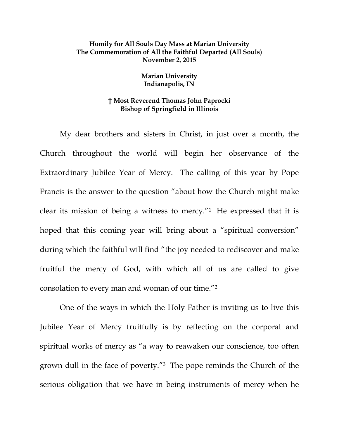## **Homily for All Souls Day Mass at Marian University The Commemoration of All the Faithful Departed (All Souls) November 2, 2015**

## **Marian University Indianapolis, IN**

## **† Most Reverend Thomas John Paprocki Bishop of Springfield in Illinois**

 My dear brothers and sisters in Christ, in just over a month, the Church throughout the world will begin her observance of the Extraordinary Jubilee Year of Mercy. The calling of this year by Pope Francis is the answer to the question "about how the Church might make clear its mission of being a witness to mercy."1 He expressed that it is hoped that this coming year will bring about a "spiritual conversion" during which the faithful will find "the joy needed to rediscover and make fruitful the mercy of God, with which all of us are called to give consolation to every man and woman of our time."2

 One of the ways in which the Holy Father is inviting us to live this Jubilee Year of Mercy fruitfully is by reflecting on the corporal and spiritual works of mercy as "a way to reawaken our conscience, too often grown dull in the face of poverty."3 The pope reminds the Church of the serious obligation that we have in being instruments of mercy when he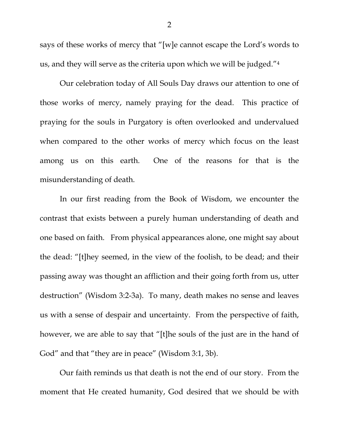says of these works of mercy that "[w]e cannot escape the Lord's words to us, and they will serve as the criteria upon which we will be judged."4

 Our celebration today of All Souls Day draws our attention to one of those works of mercy, namely praying for the dead. This practice of praying for the souls in Purgatory is often overlooked and undervalued when compared to the other works of mercy which focus on the least among us on this earth. One of the reasons for that is the misunderstanding of death.

 In our first reading from the Book of Wisdom, we encounter the contrast that exists between a purely human understanding of death and one based on faith. From physical appearances alone, one might say about the dead: "[t]hey seemed, in the view of the foolish, to be dead; and their passing away was thought an affliction and their going forth from us, utter destruction" (Wisdom 3:2-3a). To many, death makes no sense and leaves us with a sense of despair and uncertainty. From the perspective of faith, however, we are able to say that "[t]he souls of the just are in the hand of God" and that "they are in peace" (Wisdom 3:1, 3b).

Our faith reminds us that death is not the end of our story. From the moment that He created humanity, God desired that we should be with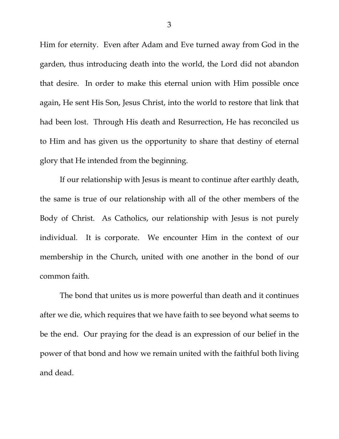Him for eternity. Even after Adam and Eve turned away from God in the garden, thus introducing death into the world, the Lord did not abandon that desire. In order to make this eternal union with Him possible once again, He sent His Son, Jesus Christ, into the world to restore that link that had been lost. Through His death and Resurrection, He has reconciled us to Him and has given us the opportunity to share that destiny of eternal glory that He intended from the beginning.

If our relationship with Jesus is meant to continue after earthly death, the same is true of our relationship with all of the other members of the Body of Christ. As Catholics, our relationship with Jesus is not purely individual. It is corporate. We encounter Him in the context of our membership in the Church, united with one another in the bond of our common faith.

The bond that unites us is more powerful than death and it continues after we die, which requires that we have faith to see beyond what seems to be the end. Our praying for the dead is an expression of our belief in the power of that bond and how we remain united with the faithful both living and dead.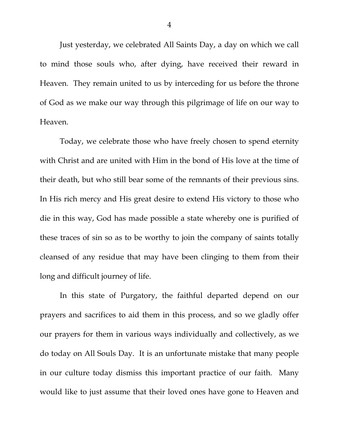Just yesterday, we celebrated All Saints Day, a day on which we call to mind those souls who, after dying, have received their reward in Heaven. They remain united to us by interceding for us before the throne of God as we make our way through this pilgrimage of life on our way to Heaven.

Today, we celebrate those who have freely chosen to spend eternity with Christ and are united with Him in the bond of His love at the time of their death, but who still bear some of the remnants of their previous sins. In His rich mercy and His great desire to extend His victory to those who die in this way, God has made possible a state whereby one is purified of these traces of sin so as to be worthy to join the company of saints totally cleansed of any residue that may have been clinging to them from their long and difficult journey of life.

In this state of Purgatory, the faithful departed depend on our prayers and sacrifices to aid them in this process, and so we gladly offer our prayers for them in various ways individually and collectively, as we do today on All Souls Day. It is an unfortunate mistake that many people in our culture today dismiss this important practice of our faith. Many would like to just assume that their loved ones have gone to Heaven and

4